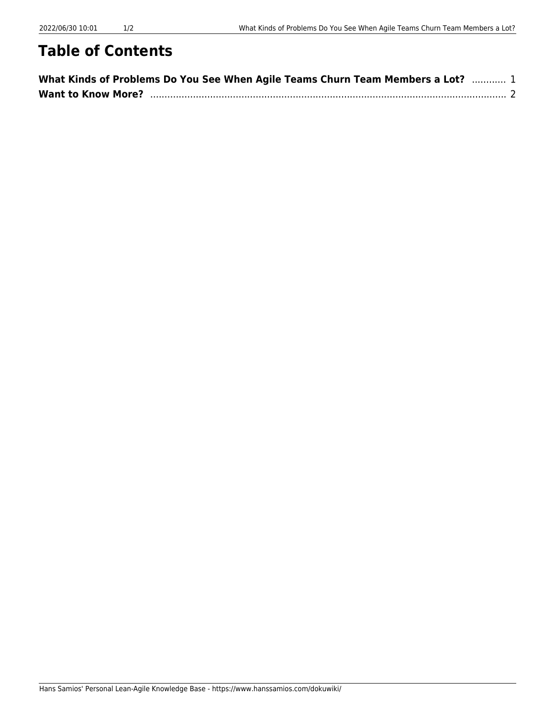## **Table of Contents**

| What Kinds of Problems Do You See When Agile Teams Churn Team Members a Lot?  1 |  |
|---------------------------------------------------------------------------------|--|
|                                                                                 |  |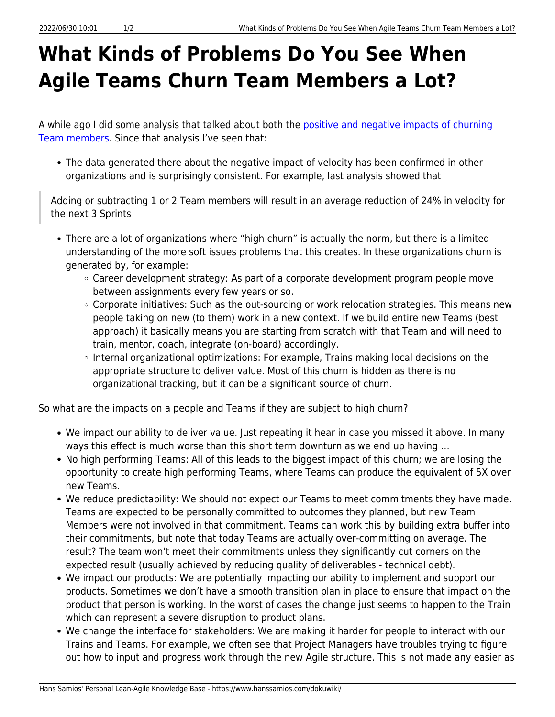## <span id="page-2-0"></span>**What Kinds of Problems Do You See When Agile Teams Churn Team Members a Lot?**

A while ago I did some analysis that talked about both the [positive and negative impacts of churning](https://www.hanssamios.com/dokuwiki/what_is_the_effect_of_changing_team_members_on_velocity) [Team members](https://www.hanssamios.com/dokuwiki/what_is_the_effect_of_changing_team_members_on_velocity). Since that analysis I've seen that:

• The data generated there about the negative impact of velocity has been confirmed in other organizations and is surprisingly consistent. For example, last analysis showed that

Adding or subtracting 1 or 2 Team members will result in an average reduction of 24% in velocity for the next 3 Sprints

- There are a lot of organizations where "high churn" is actually the norm, but there is a limited understanding of the more soft issues problems that this creates. In these organizations churn is generated by, for example:
	- Career development strategy: As part of a corporate development program people move between assignments every few years or so.
	- Corporate initiatives: Such as the out-sourcing or work relocation strategies. This means new people taking on new (to them) work in a new context. If we build entire new Teams (best approach) it basically means you are starting from scratch with that Team and will need to train, mentor, coach, integrate (on-board) accordingly.
	- Internal organizational optimizations: For example, Trains making local decisions on the appropriate structure to deliver value. Most of this churn is hidden as there is no organizational tracking, but it can be a significant source of churn.

So what are the impacts on a people and Teams if they are subject to high churn?

- We impact our ability to deliver value. Just repeating it hear in case you missed it above. In many ways this effect is much worse than this short term downturn as we end up having …
- No high performing Teams: All of this leads to the biggest impact of this churn; we are losing the opportunity to create high performing Teams, where Teams can produce the equivalent of 5X over new Teams.
- We reduce predictability: We should not expect our Teams to meet commitments they have made. Teams are expected to be personally committed to outcomes they planned, but new Team Members were not involved in that commitment. Teams can work this by building extra buffer into their commitments, but note that today Teams are actually over-committing on average. The result? The team won't meet their commitments unless they significantly cut corners on the expected result (usually achieved by reducing quality of deliverables - technical debt).
- We impact our products: We are potentially impacting our ability to implement and support our products. Sometimes we don't have a smooth transition plan in place to ensure that impact on the product that person is working. In the worst of cases the change just seems to happen to the Train which can represent a severe disruption to product plans.
- We change the interface for stakeholders: We are making it harder for people to interact with our Trains and Teams. For example, we often see that Project Managers have troubles trying to figure out how to input and progress work through the new Agile structure. This is not made any easier as